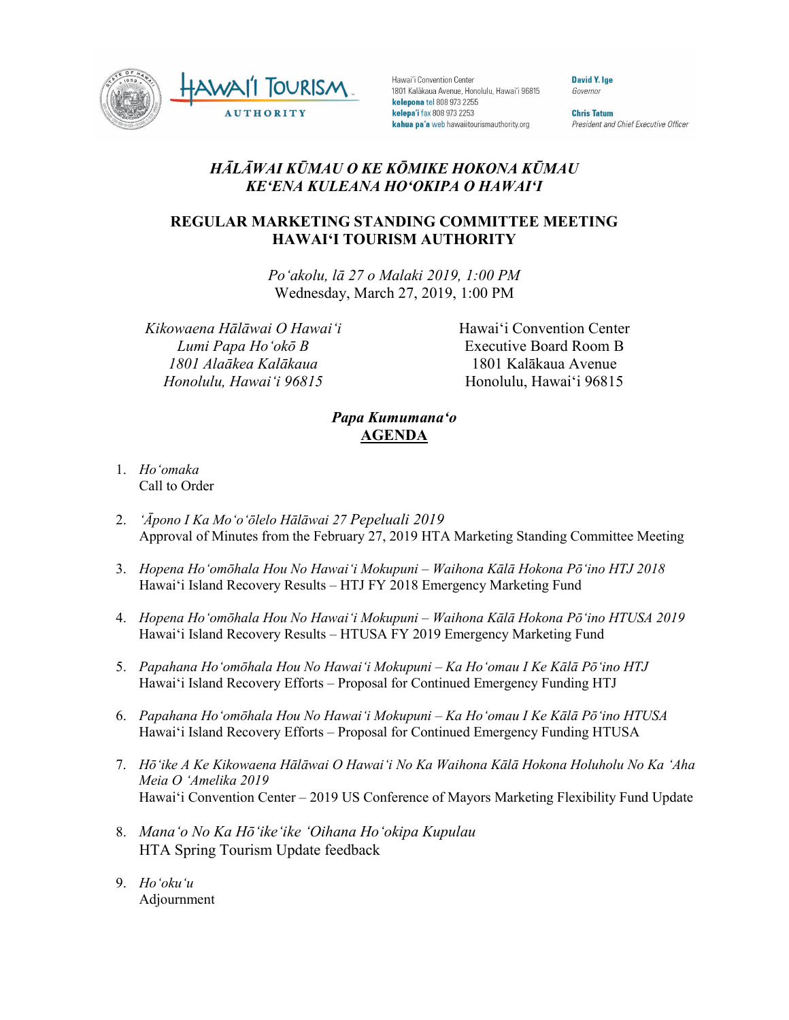

Hawai'i Convention Center 1801 Kalākaua Avenue, Honolulu, Hawai'i 96815 kelepona tel 808 973 2255 kelepa'i fax 808 973 2253 kahua pa'a web hawaiitourismauthority.org

David Y. Ige Governor

**Chris Tatum** President and Chief Executive Officer

## *HĀLĀWAI KŪMAU O KE KŌMIKE HOKONA KŪMAU KEʻENA KULEANA HOʻOKIPA O HAWAIʻI*

## **REGULAR MARKETING STANDING COMMITTEE MEETING HAWAI'I TOURISM AUTHORITY**

*Poʻakolu, lā 27 o Malaki 2019, 1:00 PM* Wednesday, March 27, 2019, 1:00 PM

*Kikowaena Hālāwai O Hawaiʻi Lumi Papa Hoʻokō B 1801 Alaākea Kalākaua Honolulu, Hawaiʻi 96815*

Hawai'i Convention Center Executive Board Room B 1801 Kalākaua Avenue Honolulu, Hawai'i 96815

## *Papa Kumumanaʻo* **AGENDA**

- 1. *Ho'omaka* Call to Order
- 2. *'Āpono I Ka Moʻoʻōlelo Hālāwai 27 Pepeluali 2019* Approval of Minutes from the February 27, 2019 HTA Marketing Standing Committee Meeting
- 3. *Hopena Hoʻomōhala Hou No Hawaiʻi Mokupuni – Waihona Kālā Hokona Pōʻino HTJ 2018* Hawai'i Island Recovery Results – HTJ FY 2018 Emergency Marketing Fund
- 4. *Hopena Hoʻomōhala Hou No Hawaiʻi Mokupuni – Waihona Kālā Hokona Pōʻino HTUSA 2019* Hawai'i Island Recovery Results – HTUSA FY 2019 Emergency Marketing Fund
- 5. *Papahana Hoʻomōhala Hou No Hawaiʻi Mokupuni – Ka Hoʻomau I Ke Kālā Pōʻino HTJ* Hawai'i Island Recovery Efforts – Proposal for Continued Emergency Funding HTJ
- 6. *Papahana Hoʻomōhala Hou No Hawaiʻi Mokupuni – Ka Hoʻomau I Ke Kālā Pōʻino HTUSA* Hawai'i Island Recovery Efforts – Proposal for Continued Emergency Funding HTUSA
- 7. *Hōʻike A Ke Kikowaena Hālāwai O Hawaiʻi No Ka Waihona Kālā Hokona Holuholu No Ka ʻAha Meia O ʻAmelika 2019* Hawaiʻi Convention Center – 2019 US Conference of Mayors Marketing Flexibility Fund Update
- 8. *Manaʻo No Ka Hōʻikeʻike ʻOihana Hoʻokipa Kupulau* HTA Spring Tourism Update feedback
- 9. *Hoʻokuʻu* Adjournment